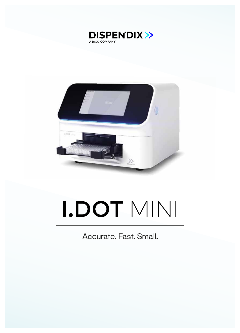



# I.DOT MINI

Accurate. Fast. Small.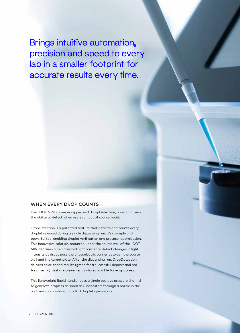Brings intuitive automation, precision and speed to every lab in a smaller footprint for accurate results every time.

#### WHEN EVERY DROP COUNTS

The I.DOT MINI comes equipped with DropDetection, providing users the ability to detect when users run out of source liquid.

DropDetection is a patented feature that detects and counts every droplet released during a single dispensing run. It's a simple and powerful tool enabling droplet verification and protocol optimization. This innovative solution, mounted under the source well of the I.DOT MINI features a miniaturized light barrier to detect changes in light intensity as drops pass the photoelectric barrier between the source well and the target plate. After the dispensing run, DropDetection delivers color-coded results (green for a successful deposit and red for an error) that are conveniently stored in a file for easy access.

This lightweight liquid handler uses a single positive pressure channel to generate droplets as small as 8 nanoliters through a nozzle in the well and can produce up to 100 droplets per second.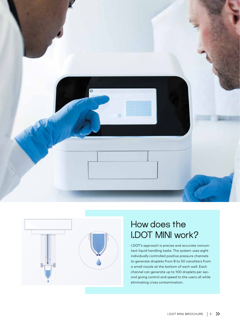



# How does the I.DOT MINI work?

I.DOT's approach is precise and accurate noncontact liquid handling tasks. The system uses eight individually controlled positive pressure channels to generate droplets from 8 to 50 nanoliters from a small nozzle at the bottom of each well. Each channel can generate up to 100 droplets per second giving control and speed to the users all while eliminating cross contamination.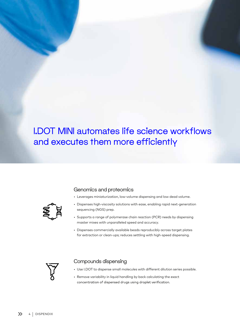# I.DOT MINI automates life science workflows and executes them more efficiently



#### Genomics and proteomics

- Leverages miniaturization, low-volume dispensing and low dead volume.
- Dispenses high-viscosity solutions with ease, enabling rapid next-generation sequencing (NGS) prep.
- Supports a range of polymerase chain reaction (PCR) needs by dispensing master mixes with unparalleled speed and accuracy.
- Dispenses commercially available beads reproducibly across target plates for extraction or clean-ups; reduces settling with high-speed dispensing.



#### Compounds dispensing

- Use I.DOT to dispense small molecules with different dilution series possible.
- Remove variability in liquid handling by back calculating the exact concentration of dispensed drugs using droplet verification.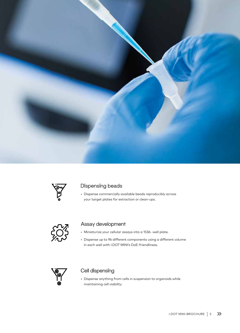



#### Dispensing beads

• Dispense commercially available beads reproducibly across your target plates for extraction or clean-ups.



#### Assay development

- Miniaturize your cellular assays into a 1536- well plate.
- Dispense up to 96 different components using a different volume in each well with I.DOT MINI's DoE-friendliness.



#### Cell dispensing

• Dispense anything from cells in suspension to organoids while maintaining cell viability.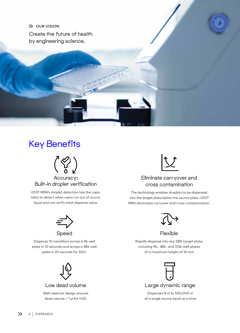**X** OUR VISION Create the future of health by engineering science.

## Key Benefits



## Built-in droplet verification

I.DOT MINI's droplet detection has the capability to detect when users run out of source liquid and can verify total dispense value.



Dispense 10 nanoliters across a 96-well plate in 10 seconds and across a 384-well plate in 20 seconds for 50nl.



Well reservoir design ensures dead volume < 1 µl for H20.



## Eliminate carryover and cross contamination

The technology enables droplets to be dispensed into the target plate below the source plate. I.DOT MINI eliminates carryover and cross-contamination.



Flexible

Rapidly dispense into any SBS target plate, including 96-, 384- and 1536-well plates of a maximum height of 16 mm.



Dispenses 8 nl to 500,000 nl of a single source liquid at a time.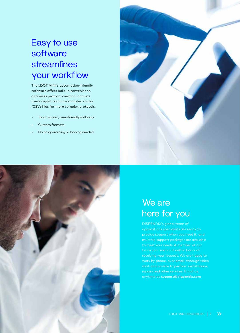# Easy to use software **streamlines** your workflow

The I.DOT MINI's automation-friendly software offers built-in convenience, optimizes protocol creation, and lets users import comma-separated values (CSV) files for more complex protocols.

- Touch screen, user-friendly software
- Custom formats
- No programming or looping needed





## We are here for you

DISPENDIX's global team of applications specialists are ready to provide support when you need it, and multiple support packages are available receiving your request. We are happy to work by phone, over email, through video chat and on-site to perform installations, repairs and other services. Email us anytime at support@dispendix.com